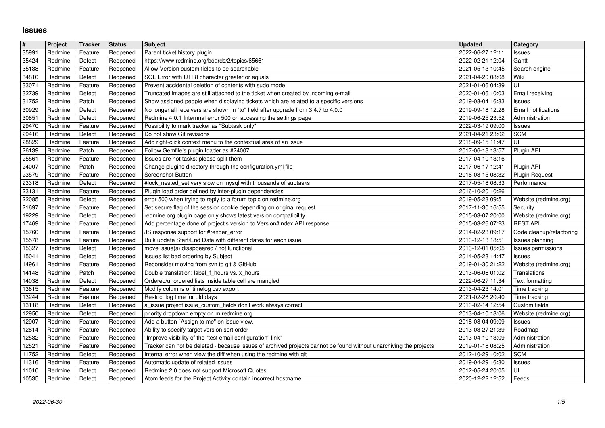## **Issues**

| $\overline{\#}$ | Project            | Tracker            | <b>Status</b>        | <b>Subject</b>                                                                                                                              | <b>Updated</b>                       | <b>Category</b>                      |
|-----------------|--------------------|--------------------|----------------------|---------------------------------------------------------------------------------------------------------------------------------------------|--------------------------------------|--------------------------------------|
| 35991           | Redmine            | Feature            | Reopened             | Parent ticket history plugin                                                                                                                | 2022-06-27 12:11                     | Issues                               |
| 35424           | Redmine            | Defect             | Reopened             | https://www.redmine.org/boards/2/topics/65661                                                                                               | 2022-02-21 12:04                     | Gantt                                |
| 35138           | Redmine            | Feature            | Reopened             | Allow Version custom fields to be searchable                                                                                                | 2021-05-13 10:45                     | Search engine                        |
| 34810           | Redmine            | Defect             | Reopened             | SQL Error with UTF8 character greater or equals                                                                                             | 2021-04-20 08:08                     | Wiki                                 |
| 33071<br>32739  | Redmine<br>Redmine | Feature<br>Defect  | Reopened<br>Reopened | Prevent accidental deletion of contents with sudo mode<br>Truncated images are still attached to the ticket when created by incoming e-mail | 2021-01-06 04:39<br>2020-01-06 10:03 | l UI<br>Email receiving              |
| 31752           | Redmine            | Patch              | Reopened             | Show assigned people when displaying tickets which are related to a specific versions                                                       | 2019-08-04 16:33                     | Issues                               |
| 30929           | Redmine            | Defect             | Reopened             | No longer all receivers are shown in "to" field after upgrade from 3.4.7 to 4.0.0                                                           | 2019-09-18 12:28                     | Email notifications                  |
| 30851           | Redmine            | Defect             | Reopened             | Redmine 4.0.1 Internnal error 500 on accessing the settings page                                                                            | 2019-06-25 23:52                     | Administration                       |
| 29470           | Redmine            | Feature            | Reopened             | Possibility to mark tracker as "Subtask only"                                                                                               | 2022-03-19 09:00                     | Issues                               |
| 29416           | Redmine            | Defect             | Reopened             | Do not show Git revisions                                                                                                                   | 2021-04-21 23:02                     | <b>SCM</b>                           |
| 28829           | Redmine            | Feature            | Reopened             | Add right-click context menu to the contextual area of an issue                                                                             | 2018-09-15 11:47                     | l UI                                 |
| 26139           | Redmine            | Patch              | Reopened             | Follow Gemfile's plugin loader as #24007                                                                                                    | 2017-06-18 13:57                     | Plugin API                           |
| 25561           | Redmine            | Feature            | Reopened             | Issues are not tasks: please split them                                                                                                     | 2017-04-10 13:16                     |                                      |
| 24007           | Redmine            | Patch              | Reopened             | Change plugins directory through the configuration.yml file<br><b>Screenshot Button</b>                                                     | 2017-06-17 12:41                     | Plugin API                           |
| 23579<br>23318  | Redmine<br>Redmine | Feature<br>Defect  | Reopened<br>Reopened | #lock_nested_set very slow on mysql with thousands of subtasks                                                                              | 2016-08-15 08:32<br>2017-05-18 08:33 | <b>Plugin Request</b><br>Performance |
| 23131           | Redmine            | Feature            | Reopened             | Plugin load order defined by inter-plugin dependencies                                                                                      | 2016-10-20 10:26                     |                                      |
| 22085           | Redmine            | Defect             | Reopened             | error 500 when trying to reply to a forum topic on redmine.org                                                                              | 2019-05-23 09:51                     | Website (redmine.org)                |
| 21697           | Redmine            | Feature            | Reopened             | Set secure flag of the session cookie depending on original request                                                                         | 2017-11-30 16:55                     | Security                             |
| 19229           | Redmine            | Defect             | Reopened             | redmine.org plugin page only shows latest version compatibility                                                                             | 2015-03-07 20:00                     | Website (redmine.org)                |
| 17469           | Redmine            | Feature            | Reopened             | Add percentage done of project's version to Version#index API response                                                                      | 2015-03-26 07:23                     | <b>REST API</b>                      |
| 15760           | Redmine            | Feature            | Reopened             | JS response support for #render_error                                                                                                       | 2014-02-23 09:17                     | Code cleanup/refactoring             |
| 15578           | Redmine            | Feature            | Reopened             | Bulk update Start/End Date with different dates for each issue                                                                              | 2013-12-13 18:51                     | Issues planning                      |
| 15327           | Redmine            | Defect             | Reopened             | move issue(s) disappeared / not functional                                                                                                  | 2013-12-01 05:05                     | <b>Issues permissions</b>            |
| 15041           | Redmine            | Defect             | Reopened             | Issues list bad ordering by Subject                                                                                                         | 2014-05-23 14:47                     | Issues                               |
| 14961           | Redmine            | Feature            | Reopened             | Reconsider moving from svn to git & GitHub                                                                                                  | 2019-01-30 21:22                     | Website (redmine.org)                |
| 14148           | Redmine            | Patch              | Reopened             | Double translation: label f_hours vs. x_hours                                                                                               | 2013-06-06 01:02                     | Translations                         |
| 14038           | Redmine            | Defect             | Reopened             | Ordered/unordered lists inside table cell are mangled                                                                                       | 2022-06-27 11:34                     | Text formatting                      |
| 13815<br>13244  | Redmine<br>Redmine | Feature<br>Feature | Reopened<br>Reopened | Modify columns of timelog csv export<br>Restrict log time for old days                                                                      | 2013-04-23 14:01<br>2021-02-28 20:40 | Time tracking<br>Time tracking       |
|                 |                    |                    |                      |                                                                                                                                             |                                      | Custom fields                        |
| 13118<br>12950  | Redmine<br>Redmine | Defect<br>Defect   | Reopened<br>Reopened | a_issue.project.issue_custom_fields don't work always correct<br>priority dropdown empty on m.redmine.org                                   | 2013-02-14 12:54<br>2013-04-10 18:06 | Website (redmine.org)                |
| 12907           | Redmine            | Feature            | Reopened             | Add a button "Assign to me" on issue view.                                                                                                  | 2018-08-04 09:09                     | Issues                               |
| 12814           | Redmine            | Feature            | Reopened             | Ability to specify target version sort order                                                                                                | 2013-03-27 21:39                     | Roadmap                              |
| 12532           | Redmine            | Feature            | Reopened             | "Improve visibility of the "test email configuration" link"                                                                                 | 2013-04-10 13:09                     | Administration                       |
| 12521           | Redmine            | Feature            | Reopened             | Tracker can not be deleted - because issues of archived projects cannot be found without unarchiving the projects                           | 2019-01-18 08:25                     | Administration                       |
| 11752           | Redmine            | Defect             | Reopened             | Internal error when view the diff when using the redmine with git                                                                           | 2012-10-29 10:02                     | <b>SCM</b>                           |
| 11316           | Redmine            | Feature            | Reopened             | Automatic update of related issues                                                                                                          | 2019-04-29 16:30                     | Issues                               |
| 11010           | Redmine            | Defect             | Reopened             | Redmine 2.0 does not support Microsoft Quotes                                                                                               | 2012-05-24 20:05                     | UI                                   |
|                 |                    |                    |                      |                                                                                                                                             |                                      |                                      |
|                 |                    |                    |                      |                                                                                                                                             |                                      |                                      |
|                 |                    |                    |                      |                                                                                                                                             |                                      |                                      |
|                 |                    |                    |                      |                                                                                                                                             |                                      |                                      |
|                 |                    |                    |                      |                                                                                                                                             |                                      |                                      |
|                 |                    |                    |                      |                                                                                                                                             |                                      |                                      |
|                 |                    |                    |                      |                                                                                                                                             |                                      |                                      |
|                 |                    |                    |                      |                                                                                                                                             |                                      |                                      |
|                 |                    |                    |                      |                                                                                                                                             |                                      |                                      |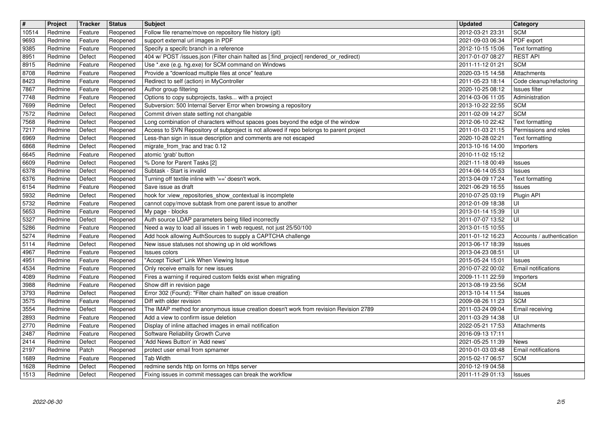| $\boxed{\texttt{#}}$  | Project            | Tracker            | <b>Status</b>        | <b>Subject</b>                                                                                                                                              | <b>Updated</b>                            | <b>Category</b>                           |
|-----------------------|--------------------|--------------------|----------------------|-------------------------------------------------------------------------------------------------------------------------------------------------------------|-------------------------------------------|-------------------------------------------|
| 10514                 | Redmine            | Feature            | Reopened             | Follow file rename/move on repository file history (git)                                                                                                    | 2012-03-21 23:31                          | <b>SCM</b>                                |
| 9693<br>9385          | Redmine<br>Redmine | Feature<br>Feature | Reopened<br>Reopened | support external url images in PDF<br>Specify a specifc branch in a reference                                                                               | 2021-09-03 06:34<br>2012-10-15 15:06      | PDF export<br>Text formatting             |
| 8951                  | Redmine            | Defect             | Reopened             | 404 w/ POST /issues.json (Filter chain halted as [:find_project] rendered_or_redirect)                                                                      | 2017-01-07 08:27                          | <b>REST API</b>                           |
| 8915                  | Redmine            | Feature            | Reopened             | Use *.exe (e.g. hg.exe) for SCM command on Windows                                                                                                          | 2011-11-12 01:21                          | <b>SCM</b>                                |
| 8708                  | Redmine            | Feature            | Reopened             | Provide a "download multiple files at once" feature                                                                                                         | 2020-03-15 14:58                          | Attachments                               |
| 8423<br>7867          | Redmine<br>Redmine | Feature<br>Feature | Reopened<br>Reopened | Redirect to self (action) in MyController<br>Author group filtering                                                                                         | 2011-05-23 18:14<br>2020-10-25 08:12      | Code cleanup/refactoring<br>Issues filter |
| 7748                  | Redmine            | Feature            | Reopened             | Options to copy subprojects, tasks with a project                                                                                                           | 2014-03-06 11:05                          | Administration                            |
| 7699                  | Redmine            | Defect             | Reopened             | Subversion: 500 Internal Server Error when browsing a repository                                                                                            | 2013-10-22 22:55                          | <b>SCM</b>                                |
| 7572                  | Redmine            | Defect             | Reopened             | Commit driven state setting not changable                                                                                                                   | 2011-02-09 14:27                          | <b>SCM</b>                                |
| 7568                  | Redmine            | Defect             | Reopened             | Long combination of characters without spaces goes beyond the edge of the window                                                                            | 2012-06-10 22:42                          | Text formatting                           |
| 7217<br>6969          | Redmine<br>Redmine | Defect<br>Defect   | Reopened<br>Reopened | Access to SVN Repository of subproject is not allowed if repo belongs to parent project<br>Less-than sign in issue description and comments are not escaped | 2011-01-03 21:15<br>2020-10-28 02:21      | Permissions and roles<br>Text formatting  |
| 6868                  | Redmine            | Defect             | Reopened             | migrate_from_trac and trac 0.12                                                                                                                             | 2013-10-16 14:00                          | Importers                                 |
| 6645                  | Redmine            | Feature            | Reopened             | atomic 'grab' button                                                                                                                                        | 2010-11-02 15:12                          |                                           |
| 6609                  | Redmine            | Defect             | Reopened             | % Done for Parent Tasks [2]                                                                                                                                 | 2021-11-18 00:49                          | Issues                                    |
| 6378                  | Redmine            | Defect             | Reopened             | Subtask - Start is invalid                                                                                                                                  | 2014-06-14 05:53                          | Issues                                    |
| 6376<br>6154          | Redmine<br>Redmine | Defect<br>Feature  | Reopened<br>Reopened | Turning off textile inline with '==' doesn't work.<br>Save issue as draft                                                                                   | 2013-04-09 17:24<br>2021-06-29 16:55      | Text formatting<br>Issues                 |
| 5932                  | Redmine            | Defect             | Reopened             | hook for :view_repositories_show_contextual is incomplete                                                                                                   | 2010-07-25 03:19                          | Plugin API                                |
| 5732                  | Redmine            | Feature            | Reopened             | cannot copy/move subtask from one parent issue to another                                                                                                   | 2012-01-09 18:38                          | UI                                        |
| 5653                  | Redmine            | Feature            | Reopened             | My page - blocks                                                                                                                                            | 2013-01-14 15:39                          | l UI                                      |
| 5327                  | Redmine            | Defect             | Reopened             | Auth source LDAP parameters being filled incorrectly                                                                                                        | 2011-07-07 13:52                          | l UI                                      |
| 5286<br>5274          | Redmine<br>Redmine | Feature<br>Feature | Reopened<br>Reopened | Need a way to load all issues in 1 web request, not just 25/50/100<br>Add hook allowing AuthSources to supply a CAPTCHA challenge                           | 2013-01-15 10:55<br>2011-01-12 16:23      | Accounts / authentication                 |
| 5114                  | Redmine            | Defect             | Reopened             | New issue statuses not showing up in old workflows                                                                                                          | 2013-06-17 18:39                          | Issues                                    |
| 4967                  | Redmine            | Feature            | Reopened             | Issues colors                                                                                                                                               | 2013-04-23 08:51                          | UI                                        |
| 4951                  | Redmine            | Feature            | Reopened             | "Accept Ticket" Link When Viewing Issue                                                                                                                     | 2015-05-24 15:01                          | Issues                                    |
| 4534                  | Redmine            | Feature            | Reopened             | Only receive emails for new issues                                                                                                                          | 2010-07-22 00:02                          | Email notifications                       |
| 4089                  | Redmine            | Feature            | Reopened             | Fires a warning if required custom fields exist when migrating                                                                                              | 2009-11-11 22:59                          | Importers                                 |
| 3988<br>3793          | Redmine<br>Redmine | Feature<br>Defect  | Reopened<br>Reopened | Show diff in revision page<br>Error 302 (Found): "Filter chain halted" on issue creation                                                                    | 2013-08-19 23:56<br>2013-10-14 11:54      | <b>SCM</b><br>Issues                      |
| 3575                  | Redmine            | Feature            | Reopened             | Diff with older revision                                                                                                                                    | 2009-08-26 11:23                          | <b>SCM</b>                                |
| 3554                  | Redmine            | Defect             | Reopened             | The IMAP method for anonymous issue creation doesn't work from revision Revision 2789                                                                       | 2011-03-24 09:04                          | Email receiving                           |
| 2893                  | Redmine            | Feature            | Reopened             | Add a view to confirm issue deletion                                                                                                                        | 2011-03-29 14:38                          | UI                                        |
| 2770                  | Redmine            | Feature            | Reopened             | Display of inline attached images in email notification                                                                                                     | 2022-05-21 17:53                          | Attachments                               |
| $\sqrt{2487}$<br>2414 | Redmine<br>Redmine | Feature<br>Defect  | Reopened             | Software Reliability Growth Curve<br>Reopened   'Add News Button' in 'Add news'                                                                             | 2016-09-13 17:11<br>2021-05-25 11:39 News |                                           |
| 2197                  | Redmine            | Patch              | Reopened             | protect user email from spmamer                                                                                                                             | 2010-01-03 03:48                          | Email notifications                       |
| 1689                  | Redmine            | Feature            | Reopened             | <b>Tab Width</b>                                                                                                                                            | 2015-02-17 06:57                          | <b>SCM</b>                                |
| 1628                  | Redmine            | Defect             | Reopened             | redmine sends http on forms on https server<br>Fixing issues in commit messages can break the workflow                                                      | 2010-12-19 04:58                          |                                           |
|                       |                    |                    |                      |                                                                                                                                                             |                                           |                                           |
|                       |                    |                    |                      |                                                                                                                                                             |                                           |                                           |
|                       |                    |                    |                      |                                                                                                                                                             |                                           |                                           |
|                       |                    |                    |                      |                                                                                                                                                             |                                           |                                           |
|                       |                    |                    |                      |                                                                                                                                                             |                                           |                                           |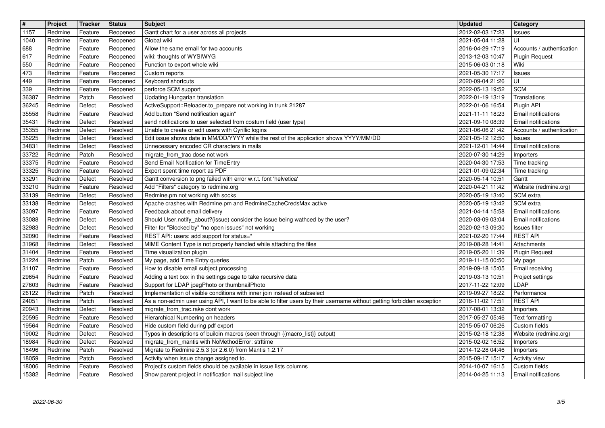| $\overline{\#}$<br>$\boxed{1157}$ | Project<br>Redmine | Tracker<br>Feature | <b>Status</b><br>Reopened | <b>Subject</b><br>Gantt chart for a user across all projects                                                                                               | <b>Updated</b><br>2012-02-03 17:23   | <b>Category</b><br>Issues                          |
|-----------------------------------|--------------------|--------------------|---------------------------|------------------------------------------------------------------------------------------------------------------------------------------------------------|--------------------------------------|----------------------------------------------------|
| 1040                              | Redmine            | Feature            | Reopened                  | Global wiki                                                                                                                                                | 2021-05-04 11:28                     | UI                                                 |
| 688<br>617                        | Redmine<br>Redmine | Feature<br>Feature | Reopened<br>Reopened      | Allow the same email for two accounts<br>wiki: thoughts of WYSIWYG                                                                                         | 2016-04-29 17:19<br>2013-12-03 10:47 | Accounts / authentication<br><b>Plugin Request</b> |
| 550                               | Redmine            | Feature            | Reopened                  | Function to export whole wiki                                                                                                                              | 2015-06-03 01:18                     | Wiki                                               |
| 473<br>449                        | Redmine<br>Redmine | Feature<br>Feature | Reopened<br>Reopened      | Custom reports<br>Keyboard shortcuts                                                                                                                       | 2021-05-30 17:17<br>2020-09-04 21:26 | Issues<br>UI                                       |
| 339                               | Redmine            | Feature            | Reopened                  | perforce SCM support                                                                                                                                       | 2022-05-13 19:52                     | <b>SCM</b>                                         |
| 36387<br>36245                    | Redmine<br>Redmine | Patch<br>Defect    | Resolved<br>Resolved      | Updating Hungarian translation<br>ActiveSupport::Reloader.to_prepare not working in trunk 21287                                                            | 2022-01-19 13:19<br>2022-01-06 16:54 | Translations<br>Plugin API                         |
| 35558<br>35431                    | Redmine<br>Redmine | Feature<br>Defect  | Resolved<br>Resolved      | Add button "Send notification again"<br>send notifications to user selected from costum field (user type)                                                  | 2021-11-11 18:23<br>2021-09-10 08:39 | <b>Email notifications</b><br>Email notifications  |
| 35355                             | Redmine            | Defect             | Resolved                  | Unable to create or edit users with Cyrillic logins                                                                                                        | 2021-06-06 21:42                     | Accounts / authentication                          |
| 35225<br>34831                    | Redmine<br>Redmine | Defect<br>Defect   | Resolved<br>Resolved      | Edit issue shows date in MM/DD/YYYY while the rest of the application shows YYYY/MM/DD<br>Unnecessary encoded CR characters in mails                       | 2021-05-12 12:50<br>2021-12-01 14:44 | Issues<br>Email notifications                      |
| 33722                             | Redmine            | Patch              | Resolved                  | migrate_from_trac dose not work                                                                                                                            | 2020-07-30 14:29                     | Importers                                          |
| 33375<br>33325                    | Redmine<br>Redmine | Feature<br>Feature | Resolved<br>Resolved      | Send Email Notification for TimeEntry<br>Export spent time report as PDF                                                                                   | 2020-04-30 17:53<br>2021-01-09 02:34 | Time tracking<br>Time tracking                     |
| 33291                             | Redmine            | Defect             | Resolved                  | Gantt conversion to png failed with error w.r.t. font 'helvetica'                                                                                          | 2020-05-14 10:51                     | Gantt                                              |
| 33210<br>33139                    | Redmine<br>Redmine | Feature<br>Defect  | Resolved<br>Resolved      | Add "Filters" category to redmine.org<br>Redmine.pm not working with socks                                                                                 | 2020-04-21 11:42<br>2020-05-19 13:40 | Website (redmine.org)<br>SCM extra                 |
| 33138<br>33097                    | Redmine<br>Redmine | Defect<br>Feature  | Resolved<br>Resolved      | Apache crashes with Redmine.pm and RedmineCacheCredsMax active<br>Feedback about email delivery                                                            | 2020-05-19 13:42<br>2021-04-14 15:58 | SCM extra<br>Email notifications                   |
| 33088                             | Redmine            | Defect             | Resolved                  | Should User.notify_about?(issue) consider the issue being wathced by the user?                                                                             | 2020-03-09 03:04                     | Email notifications                                |
| 32983<br>32090                    | Redmine<br>Redmine | Defect<br>Feature  | Resolved<br>Resolved      | Filter for "Blocked by" "no open issues" not working<br>REST API: users: add support for status=*                                                          | 2020-02-13 09:30<br>2021-02-20 17:44 | Issues filter<br><b>REST API</b>                   |
| 31968                             | Redmine            | Defect             | Resolved                  | MIME Content Type is not properly handled while attaching the files                                                                                        | 2019-08-28 14:41                     | Attachments                                        |
| 31404<br>31224                    | Redmine<br>Redmine | Feature<br>Patch   | Resolved<br>Resolved      | Time visualization plugin<br>My page, add Time Entry queries                                                                                               | 2019-05-20 11:39<br>2019-11-15 00:50 | <b>Plugin Request</b><br>My page                   |
| 31107                             | Redmine            | Feature            | Resolved                  | How to disable email subject processing                                                                                                                    | 2019-09-18 15:05                     | Email receiving                                    |
| 29654<br>27603                    | Redmine<br>Redmine | Feature<br>Feature | Resolved<br>Resolved      | Adding a text box in the settings page to take recursive data<br>Support for LDAP jpegPhoto or thumbnailPhoto                                              | 2019-03-13 10:51<br>2017-11-22 12:09 | Project settings<br>LDAP                           |
| 26122                             | Redmine            | Patch              | Resolved                  | Implementation of visible conditions with inner join instead of subselect                                                                                  | 2019-09-27 18:22                     | Performance                                        |
| 24051<br>20943                    | Redmine<br>Redmine | Patch<br>Defect    | Resolved<br>Resolved      | As a non-admin user using API, I want to be able to filter users by their username without getting forbidden exception<br>migrate_from_trac.rake dont work | 2016-11-02 17:51<br>2017-08-01 13:32 | <b>REST API</b><br>Importers                       |
| 20595<br>19564                    | Redmine<br>Redmine | Feature<br>Feature | Resolved<br>Resolved      | Hierarchical Numbering on headers<br>Hide custom field during pdf export                                                                                   | 2017-05-27 05:46<br>2015-05-07 06:26 | Text formatting<br>Custom fields                   |
| 19002                             | Redmine            | Defect             | Resolved                  | Typos in descriptions of buildin macros (seen through {{macro_list}} output)                                                                               | 2015-02-18 12:38                     | Website (redmine.org)                              |
| 18984<br>18496                    | Redmine<br>Redmine | Defect<br>Patch    | Resolved<br>Resolved      | migrate_from_mantis with NoMethodError: strftime<br>Migrate to Redmine 2.5.3 (or 2.6.0) from Mantis 1.2.17                                                 | 2015-02-02 16:52<br>2014-12-28 04:46 | Importers<br>Importers                             |
| 18059                             | Redmine            | Patch              | Resolved                  | Activity when issue change assigned to.                                                                                                                    | 2015-09-17 15:17                     | Activity view                                      |
| 18006<br>15382                    | Redmine<br>Redmine | Feature<br>Feature | Resolved<br>Resolved      | Project's custom fields should be available in issue lists columns<br>Show parent project in notification mail subject line                                | 2014-10-07 16:15<br>2014-04-25 11:13 | Custom fields<br>Email notifications               |
|                                   |                    |                    |                           |                                                                                                                                                            |                                      |                                                    |
|                                   |                    |                    |                           |                                                                                                                                                            |                                      |                                                    |
|                                   |                    |                    |                           |                                                                                                                                                            |                                      |                                                    |
|                                   |                    |                    |                           |                                                                                                                                                            |                                      |                                                    |
|                                   |                    |                    |                           |                                                                                                                                                            |                                      |                                                    |
|                                   |                    |                    |                           |                                                                                                                                                            |                                      |                                                    |
|                                   |                    |                    |                           |                                                                                                                                                            |                                      |                                                    |
|                                   |                    |                    |                           |                                                                                                                                                            |                                      |                                                    |
|                                   |                    |                    |                           |                                                                                                                                                            |                                      |                                                    |
|                                   |                    |                    |                           |                                                                                                                                                            |                                      |                                                    |
|                                   |                    |                    |                           |                                                                                                                                                            |                                      |                                                    |
|                                   |                    |                    |                           |                                                                                                                                                            |                                      |                                                    |
|                                   |                    |                    |                           |                                                                                                                                                            |                                      |                                                    |
|                                   |                    |                    |                           |                                                                                                                                                            |                                      |                                                    |
|                                   |                    |                    |                           |                                                                                                                                                            |                                      |                                                    |
|                                   |                    |                    |                           |                                                                                                                                                            |                                      |                                                    |
|                                   |                    |                    |                           |                                                                                                                                                            |                                      |                                                    |
|                                   |                    |                    |                           |                                                                                                                                                            |                                      |                                                    |
|                                   |                    |                    |                           |                                                                                                                                                            |                                      |                                                    |
|                                   |                    |                    |                           |                                                                                                                                                            |                                      |                                                    |
|                                   |                    |                    |                           |                                                                                                                                                            |                                      |                                                    |
|                                   |                    |                    |                           |                                                                                                                                                            |                                      |                                                    |
|                                   |                    |                    |                           |                                                                                                                                                            |                                      |                                                    |
|                                   |                    |                    |                           |                                                                                                                                                            |                                      |                                                    |
|                                   |                    |                    |                           |                                                                                                                                                            |                                      |                                                    |
|                                   |                    |                    |                           |                                                                                                                                                            |                                      |                                                    |
|                                   |                    |                    |                           |                                                                                                                                                            |                                      |                                                    |
|                                   |                    |                    |                           |                                                                                                                                                            |                                      |                                                    |
|                                   |                    |                    |                           |                                                                                                                                                            |                                      |                                                    |
|                                   |                    |                    |                           |                                                                                                                                                            |                                      |                                                    |
|                                   |                    |                    |                           |                                                                                                                                                            |                                      |                                                    |
|                                   |                    |                    |                           |                                                                                                                                                            |                                      |                                                    |
|                                   |                    |                    |                           |                                                                                                                                                            |                                      |                                                    |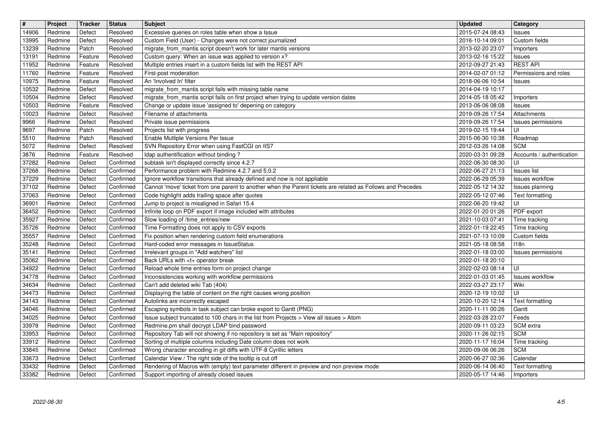| $\overline{\mathbf{H}}$ | Project            | Tracker          | <b>Status</b>          | <b>Subject</b>                                                                                                                                                                           | <b>Updated</b>                       | Category                           |
|-------------------------|--------------------|------------------|------------------------|------------------------------------------------------------------------------------------------------------------------------------------------------------------------------------------|--------------------------------------|------------------------------------|
| 14906                   | Redmine            | Defect           | Resolved               | Excessive queries on roles table when show a Issue                                                                                                                                       | 2015-07-24 08:43                     | Issues                             |
| 13995                   | Redmine            | Defect           | Resolved               | Custom Field (User) - Changes were not correct journalized                                                                                                                               | 2016-10-14 09:01                     | Custom fields                      |
| 13239<br>13191          | Redmine<br>Redmine | Patch<br>Feature | Resolved<br>Resolved   | migrate_from_mantis script doesn't work for later mantis versions<br>Custom query: When an issue was applied to version x?                                                               | 2013-02-20 23:07<br>2013-02-16 15:22 | Importers                          |
| 11952                   | Redmine            | Feature          | Resolved               | Multiple entries insert in a custom fields list with the REST API                                                                                                                        | 2012-09-27 21:43                     | <b>Issues</b><br><b>REST API</b>   |
| 11760                   | Redmine            | Feature          | Resolved               | First-post moderation                                                                                                                                                                    | 2014-02-07 01:12                     | Permissions and roles              |
| 10975                   | Redmine            | Feature          | Resolved               | An 'Involved In' filter                                                                                                                                                                  | 2018-06-06 10:54                     | Issues                             |
| 10532                   | Redmine            | Defect           | Resolved               | migrate_from_mantis script fails with missing table name                                                                                                                                 | 2014-04-19 10:17                     |                                    |
| 10504                   | Redmine            | Defect           | Resolved               | migrate_from_mantis script fails on first project when trying to update version dates                                                                                                    | 2014-05-18 05:42                     | Importers                          |
| 10503                   | Redmine            | Feature          | Resolved               | Change or update issue 'assigned to' depening on category                                                                                                                                | 2013-06-06 08:08                     | Issues                             |
| 10023<br>9966           | Redmine<br>Redmine | Defect<br>Defect | Resolved<br>Resolved   | Filename of attachments<br>Private issue permissions                                                                                                                                     | 2019-09-26 17:54<br>2019-09-26 17:54 | Attachments<br>Issues permissions  |
| 9697                    | Redmine            | Patch            | Resolved               | Projects list with progress                                                                                                                                                              | 2019-02-15 19:44                     | luı                                |
| 5510                    | Redmine            | Patch            | Resolved               | Enable Mutliple Versions Per Issue                                                                                                                                                       | 2015-06-30 10:38                     | Roadmap                            |
| 5072                    | Redmine            | Defect           | Resolved               | SVN Repository Error when using FastCGI on IIS7                                                                                                                                          | 2012-03-26 14:08                     | <b>SCM</b>                         |
| 3876                    | Redmine            | Feature          | Resolved               | Idap authentification without binding?                                                                                                                                                   | 2020-03-31 09:28                     | Accounts / authentication          |
| 37282                   | Redmine            | Defect           | Confirmed              | subtask isn't displayed correctly since 4.2.7                                                                                                                                            | 2022-06-30 08:30                     | UI                                 |
| 37268                   | Redmine            | Defect           | Confirmed              | Performance problem with Redmine 4.2.7 and 5.0.2                                                                                                                                         | 2022-06-27 21:13                     | <b>Issues list</b>                 |
| 37229<br>37102          | Redmine<br>Redmine | Defect<br>Defect | Confirmed<br>Confirmed | Ignore workflow transitions that already defined and now is not appliable<br>Cannot 'move' ticket from one parent to another when the Parent tickets are related as Follows and Precedes | 2022-06-29 05:39<br>2022-05-12 14:32 | Issues workflow<br>Issues planning |
| 37063                   | Redmine            | Defect           | Confirmed              | Code highlight adds trailing space after quotes                                                                                                                                          | 2022-05-12 07:46                     | Text formatting                    |
| 36901                   | Redmine            | Defect           | Confirmed              | Jump to project is misaligned in Safari 15.4                                                                                                                                             | 2022-06-20 19:42                     | luı                                |
| 36452                   | Redmine            | Defect           | Confirmed              | Infinite loop on PDF export if image included with attributes                                                                                                                            | 2022-01-20 01:26                     | PDF export                         |
| 35927                   | Redmine            | Defect           | Confirmed              | Slow loading of /time_entries/new                                                                                                                                                        | 2021-10-03 07:41                     | Time tracking                      |
| 35726                   | Redmine            | Defect           | Confirmed              | Time Formatting does not apply to CSV exports                                                                                                                                            | 2022-01-19 22:45                     | Time tracking                      |
| 35557                   | Redmine            | Defect           | Confirmed              | Fix position when rendering custom field enumerations                                                                                                                                    | 2021-07-13 10:09                     | Custom fields                      |
| 35248<br>35141          | Redmine<br>Redmine | Defect<br>Defect | Confirmed<br>Confirmed | Hard-coded error messages in IssueStatus<br>Irrelevant groups in "Add watchers" list                                                                                                     | 2021-05-18 08:58<br>2022-01-18 03:00 | 118n                               |
| 35062                   | Redmine            | Defect           | Confirmed              | Back URLs with <t+ break<="" operator="" td=""><td>2022-01-18 20:10</td><td>Issues permissions</td></t+>                                                                                 | 2022-01-18 20:10                     | Issues permissions                 |
| 34922                   | Redmine            | Defect           | Confirmed              | Reload whole time entries form on project change                                                                                                                                         | 2022-02-03 08:14                     | UI                                 |
| 34778                   | Redmine            | Defect           | Confirmed              | Inconsistencies working with workflow permissions                                                                                                                                        | 2022-01-03 01:45                     | Issues workflow                    |
| 34634                   | Redmine            | Defect           | Confirmed              | Can't add deleted wiki Tab (404)                                                                                                                                                         | 2022-03-27 23:17                     | Wiki                               |
| 34473                   | Redmine            | Defect           | Confirmed              | Displaying the table of content on the right causes wrong position                                                                                                                       | 2020-12-19 10:02                     | luı                                |
| 34143                   | Redmine            | Defect           | Confirmed              | Autolinks are incorrectly escaped                                                                                                                                                        | 2020-10-20 12:14                     | Text formatting                    |
| 34046                   | Redmine            | Defect           | Confirmed              | Escaping symbols in task subject can broke export to Gantt (PNG)                                                                                                                         | 2020-11-11 00:26                     | Gantt                              |
| 34025                   | Redmine            | Defect           | Confirmed              | Issue subject truncated to 100 chars in the list from Projects > View all issues > Atom                                                                                                  | 2022-03-28 23:07                     | Feeds                              |
| 33978<br>33953          | Redmine<br>Redmine | Defect<br>Defect | Confirmed<br>Confirmed | Redmine.pm shall decrypt LDAP bind password<br>Repository Tab will not showing if no repository is set as "Main repository"                                                              | 2020-09-11 03:23<br>2020-11-26 02:15 | SCM extra<br><b>SCM</b>            |
| $33912$                 | Redmine            | Defect           | Confirmed              | Sorting of multiple columns including Date column does not work                                                                                                                          | 2020-11-17 16:04                     | Time tracking                      |
| 33845                   | Redmine            | Defect           | Confirmed              | Wrong character encoding in git diffs with UTF-8 Cyrillic letters                                                                                                                        | 2020-09-06 06:26                     | <b>SCM</b>                         |
| 33673                   | Redmine            | Defect           | Confirmed              | Calendar View / The right side of the tooltip is cut off                                                                                                                                 | 2020-06-27 02:36                     | Calendar                           |
| 33432                   | Redmine            | Defect           | Confirmed              | Rendering of Macros with (empty) text parameter different in preview and non preview mode                                                                                                | 2020-06-14 06:40                     | Text formatting                    |
| 33382                   | Redmine            | Defect           | Confirmed              | Support importing of already closed issues                                                                                                                                               | 2020-05-17 14:46                     | Importers                          |
|                         |                    |                  |                        |                                                                                                                                                                                          |                                      |                                    |
|                         |                    |                  |                        |                                                                                                                                                                                          |                                      |                                    |
|                         |                    |                  |                        |                                                                                                                                                                                          |                                      |                                    |
|                         |                    |                  |                        |                                                                                                                                                                                          |                                      |                                    |
|                         |                    |                  |                        |                                                                                                                                                                                          |                                      |                                    |
|                         |                    |                  |                        |                                                                                                                                                                                          |                                      |                                    |
|                         |                    |                  |                        |                                                                                                                                                                                          |                                      |                                    |
|                         |                    |                  |                        |                                                                                                                                                                                          |                                      |                                    |
|                         |                    |                  |                        |                                                                                                                                                                                          |                                      |                                    |
|                         |                    |                  |                        |                                                                                                                                                                                          |                                      |                                    |
|                         |                    |                  |                        |                                                                                                                                                                                          |                                      |                                    |
|                         |                    |                  |                        |                                                                                                                                                                                          |                                      |                                    |
|                         |                    |                  |                        |                                                                                                                                                                                          |                                      |                                    |
|                         |                    |                  |                        |                                                                                                                                                                                          |                                      |                                    |
|                         |                    |                  |                        |                                                                                                                                                                                          |                                      |                                    |
|                         |                    |                  |                        |                                                                                                                                                                                          |                                      |                                    |
|                         |                    |                  |                        |                                                                                                                                                                                          |                                      |                                    |
|                         |                    |                  |                        |                                                                                                                                                                                          |                                      |                                    |
|                         |                    |                  |                        |                                                                                                                                                                                          |                                      |                                    |
|                         |                    |                  |                        |                                                                                                                                                                                          |                                      |                                    |